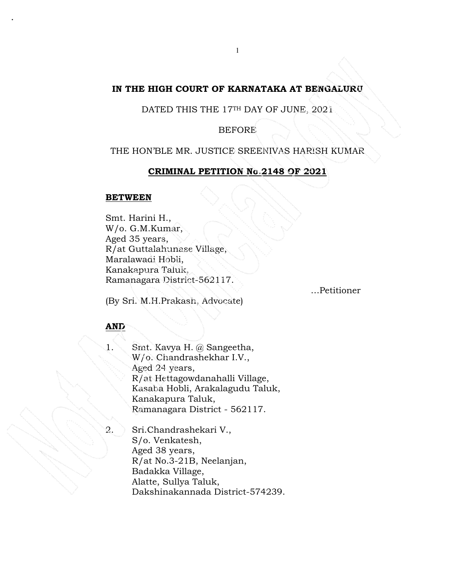## **IN THE HIGH COURT OF KARNATAKA AT BENGALURU**

DATED THIS THE 17TH DAY OF JUNE, 2021

BEFORE

THE HON'BLE MR. JUSTICE SREENIVAS HARISH KUMAR

### **CRIMINAL PETITION No.2148 OF 2021**

### **BETWEEN**

.

Smt. Harini H., W/o. G.M.Kumar, Aged 35 years, R/at Guttalahunase Village, Maralawadi Hobli, Kanakapura Taluk, Ramanagara District-562117.

…Petitioner

# (By Sri. M.H.Prakash, Advocate)

## **AND**

1. Smt. Kavya H. @ Sangeetha, W/o. Chandrashekhar I.V., Aged 24 years, R/at Hettagowdanahalli Village, Kasaba Hobli, Arakalagudu Taluk, Kanakapura Taluk, Ramanagara District - 562117.

2. Sri.Chandrashekari V., S/o. Venkatesh, Aged 38 years, R/at No.3-21B, Neelanjan, Badakka Village, Alatte, Sullya Taluk, Dakshinakannada District-574239.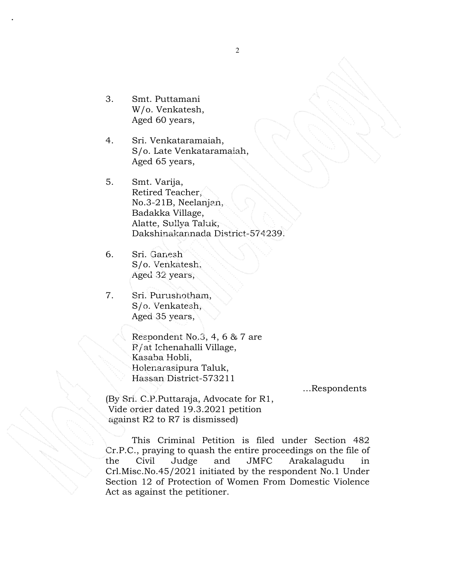3. Smt. Puttamani W/o. Venkatesh, Aged 60 years,

.

- 4. Sri. Venkataramaiah, S/o. Late Venkataramaiah, Aged 65 years,
- 5. Smt. Varija, Retired Teacher, No.3-21B, Neelanjan, Badakka Village, Alatte, Sullya Taluk, Dakshinakannada District-574239.
- 6. Sri. Ganesh S/o. Venkatesh, Aged 32 years,
- 7. Sri. Purushotham, S/o. Venkatesh, Aged 35 years,

 Respondent No.3, 4, 6 & 7 are R/at Ichenahalli Village, Kasaba Hobli, Holenarasipura Taluk, Hassan District-573211

…Respondents

(By Sri. C.P.Puttaraja, Advocate for R1, Vide order dated 19.3.2021 petition against R2 to R7 is dismissed)

This Criminal Petition is filed under Section 482 Cr.P.C., praying to quash the entire proceedings on the file of the Civil Judge and JMFC Arakalagudu in Crl.Misc.No.45/2021 initiated by the respondent No.1 Under Section 12 of Protection of Women From Domestic Violence Act as against the petitioner.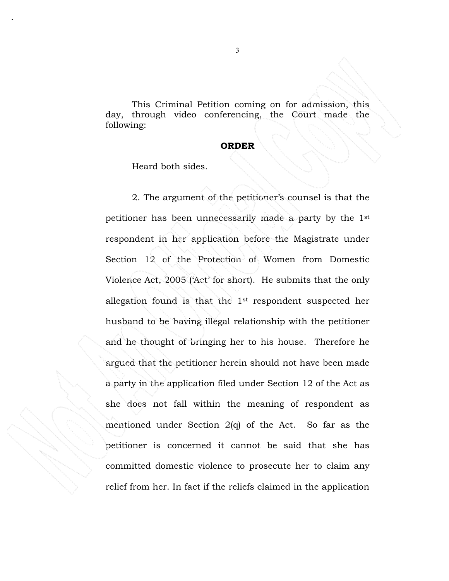This Criminal Petition coming on for admission, this day, through video conferencing, the Court made the following:

#### **ORDER**

Heard both sides.

.

2. The argument of the petitioner's counsel is that the petitioner has been unnecessarily made a party by the 1st respondent in her application before the Magistrate under Section 12 of the Protection of Women from Domestic Violence Act, 2005 ('Act' for short). He submits that the only allegation found is that the 1st respondent suspected her husband to be having illegal relationship with the petitioner and he thought of bringing her to his house. Therefore he argued that the petitioner herein should not have been made a party in the application filed under Section 12 of the Act as she does not fall within the meaning of respondent as mentioned under Section 2(q) of the Act. So far as the petitioner is concerned it cannot be said that she has committed domestic violence to prosecute her to claim any relief from her. In fact if the reliefs claimed in the application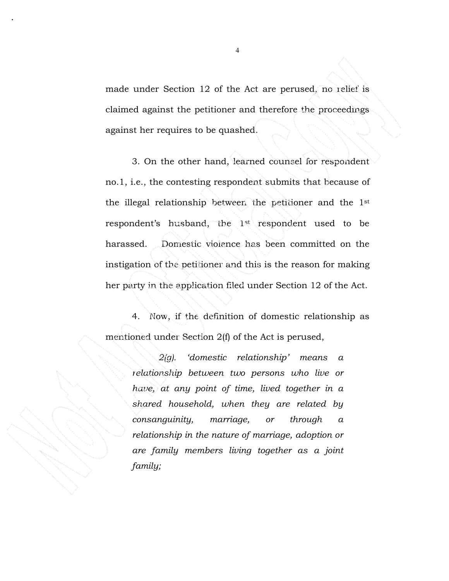made under Section 12 of the Act are perused, no relief is claimed against the petitioner and therefore the proceedings against her requires to be quashed.

3. On the other hand, learned counsel for respondent no.1, i.e., the contesting respondent submits that because of the illegal relationship between the petitioner and the 1st respondent's husband, the 1st respondent used to be harassed. Domestic violence has been committed on the instigation of the petitioner and this is the reason for making her party in the application filed under Section 12 of the Act.

4. Now, if the definition of domestic relationship as mentioned under Section 2(f) of the Act is perused,

> *2(g). 'domestic relationship' means a relationship between two persons who live or have, at any point of time, lived together in a shared household, when they are related by consanguinity, marriage, or through a relationship in the nature of marriage, adoption or are family members living together as a joint family;*

.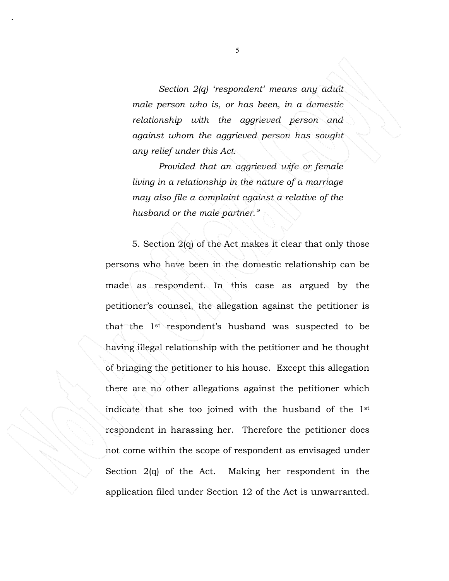*Section 2(q) 'respondent' means any adult male person who is, or has been, in a domestic relationship with the aggrieved person and against whom the aggrieved person has sought any relief under this Act.* 

*Provided that an aggrieved wife or female living in a relationship in the nature of a marriage may also file a complaint against a relative of the husband or the male partner."* 

5. Section 2(q) of the Act makes it clear that only those persons who have been in the domestic relationship can be made as respondent. In this case as argued by the petitioner's counsel, the allegation against the petitioner is that the 1st respondent's husband was suspected to be having illegal relationship with the petitioner and he thought of bringing the petitioner to his house. Except this allegation there are no other allegations against the petitioner which indicate that she too joined with the husband of the 1st respondent in harassing her. Therefore the petitioner does not come within the scope of respondent as envisaged under Section 2(q) of the Act. Making her respondent in the application filed under Section 12 of the Act is unwarranted.

.